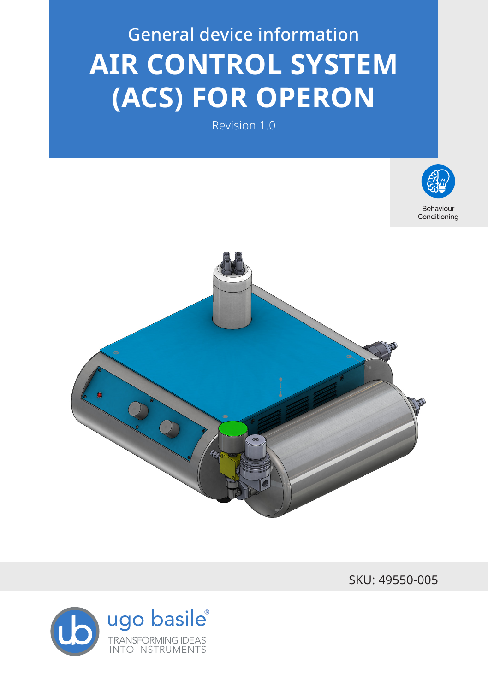# General device information **AIR CONTROL SYSTEM (ACS) FOR OPERON**

Revision 1.0



Conditioning



SKU: 49550-005

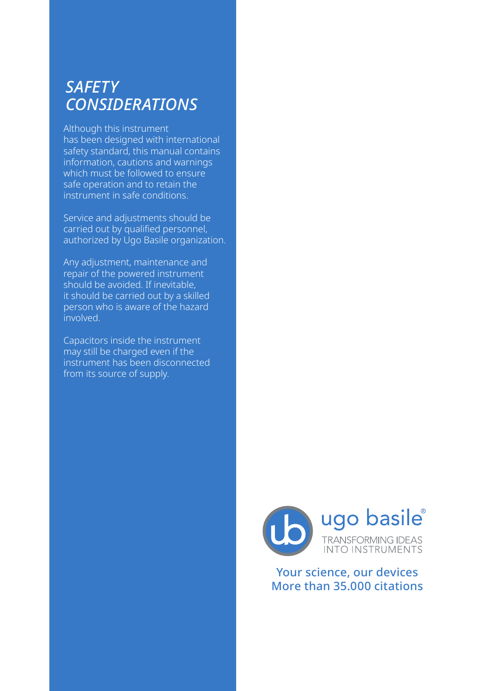## *SAFETY CONSIDERATIONS*

Although this instrument has been designed with international safety standard, this manual contains information, cautions and warnings which must be followed to ensure safe operation and to retain the instrument in safe conditions.

Service and adjustments should be carried out by qualified personnel, authorized by Ugo Basile organization.

Any adjustment, maintenance and repair of the powered instrument should be avoided. If inevitable, it should be carried out by a skilled person who is aware of the hazard involved.

Capacitors inside the instrument may still be charged even if the instrument has been disconnected from its source of supply.



Your science, our devices More than 35.000 citations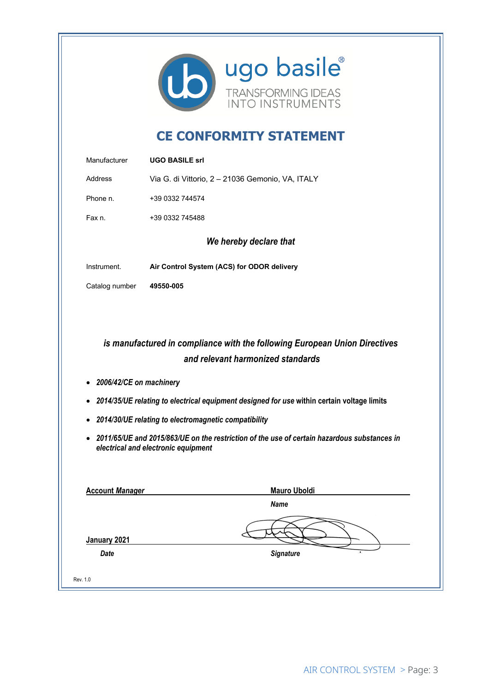

## **CE CONFORMITY STATEMENT**

| <b>Address</b>                                    | Via G. di Vittorio, 2 - 21036 Gemonio, VA, ITALY                                                                                     |
|---------------------------------------------------|--------------------------------------------------------------------------------------------------------------------------------------|
|                                                   |                                                                                                                                      |
| Phone n.                                          | +39 0332 744574                                                                                                                      |
| Fax n.                                            | +39 0332 745488                                                                                                                      |
|                                                   | We hereby declare that                                                                                                               |
| Instrument.                                       | Air Control System (ACS) for ODOR delivery                                                                                           |
| Catalog number                                    | 49550-005                                                                                                                            |
|                                                   | is manufactured in compliance with the following European Union Directives<br>and relevant harmonized standards                      |
| 2006/42/CE on machinery<br>$\bullet$<br>$\bullet$ | 2014/35/UE relating to electrical equipment designed for use within certain voltage limits                                           |
|                                                   | • 2014/30/UE relating to electromagnetic compatibility                                                                               |
|                                                   | • 2011/65/UE and 2015/863/UE on the restriction of the use of certain hazardous substances in<br>electrical and electronic equipment |
| <b>Account Manager</b>                            | <b>Mauro Uboldi</b>                                                                                                                  |
|                                                   | <b>Name</b>                                                                                                                          |
| January 2021                                      |                                                                                                                                      |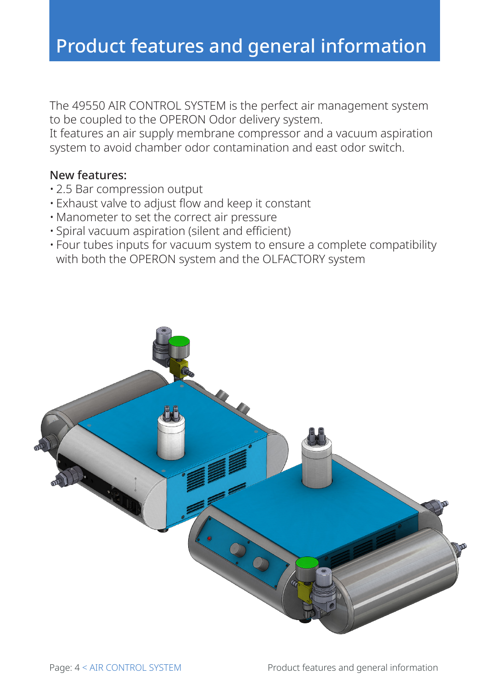The 49550 AIR CONTROL SYSTEM is the perfect air management system to be coupled to the OPERON Odor delivery system.

It features an air supply membrane compressor and a vacuum aspiration system to avoid chamber odor contamination and east odor switch.

### New features:

- 2.5 Bar compression output
- Exhaust valve to adjust flow and keep it constant
- Manometer to set the correct air pressure
- Spiral vacuum aspiration (silent and efficient)
- Four tubes inputs for vacuum system to ensure a complete compatibility with both the OPERON system and the OLFACTORY system